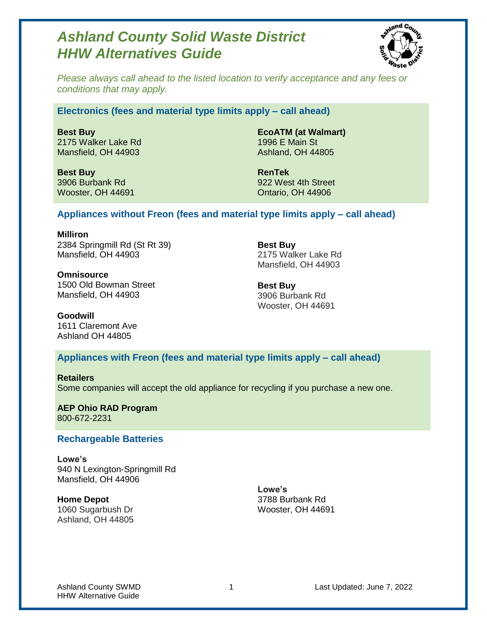# *Ashland County Solid Waste District HHW Alternatives Guide*



*Please always call ahead to the listed location to verify acceptance and any fees or conditions that may apply.*

#### **Electronics (fees and material type limits apply – call ahead)**

**Best Buy** 2175 Walker Lake Rd Mansfield, OH 44903

**Best Buy** 3906 Burbank Rd Wooster, OH 44691

**EcoATM (at Walmart)** 1996 E Main St Ashland, OH 44805

**RenTek** 922 West 4th Street Ontario, OH 44906

### **Appliances without Freon (fees and material type limits apply – call ahead)**

**Milliron** 2384 Springmill Rd (St Rt 39) Mansfield, OH 44903

**Omnisource** 1500 Old Bowman Street Mansfield, OH 44903

**Best Buy** 2175 Walker Lake Rd Mansfield, OH 44903

**Best Buy** 3906 Burbank Rd Wooster, OH 44691

**Goodwill** 1611 Claremont Ave Ashland OH 44805

## **Appliances with Freon (fees and material type limits apply – call ahead)**

**Retailers** Some companies will accept the old appliance for recycling if you purchase a new one.

**AEP Ohio RAD Program** 800-672-2231

#### **Rechargeable Batteries**

**Lowe's** 940 N Lexington-Springmill Rd Mansfield, OH 44906

**Home Depot** 1060 Sugarbush Dr Ashland, OH 44805

**Lowe's** 3788 Burbank Rd Wooster, OH 44691

Ashland County SWMD 1 1 Last Updated: June 7, 2022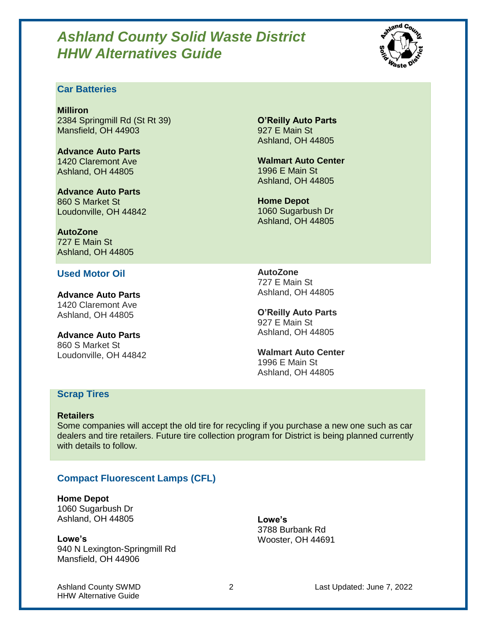# *Ashland County Solid Waste District HHW Alternatives Guide*



## **Car Batteries**

**Milliron** 2384 Springmill Rd (St Rt 39) Mansfield, OH 44903

**Advance Auto Parts** 1420 Claremont Ave Ashland, OH 44805

**Advance Auto Parts** 860 S Market St Loudonville, OH 44842

**AutoZone** 727 E Main St Ashland, OH 44805

#### **Used Motor Oil**

**Advance Auto Parts** 1420 Claremont Ave Ashland, OH 44805

**Advance Auto Parts** 860 S Market St Loudonville, OH 44842

**O'Reilly Auto Parts** 927 E Main St Ashland, OH 44805

**Walmart Auto Center** 1996 E Main St Ashland, OH 44805

**Home Depot** 1060 Sugarbush Dr Ashland, OH 44805

**AutoZone** 727 E Main St Ashland, OH 44805

**O'Reilly Auto Parts** 927 E Main St Ashland, OH 44805

**Walmart Auto Center** 1996 E Main St Ashland, OH 44805

## **Scrap Tires**

#### **Retailers**

Some companies will accept the old tire for recycling if you purchase a new one such as car dealers and tire retailers. Future tire collection program for District is being planned currently with details to follow.

# **Compact Fluorescent Lamps (CFL)**

# **Home Depot**

1060 Sugarbush Dr Ashland, OH 44805

**Lowe's** 940 N Lexington-Springmill Rd Mansfield, OH 44906

**Lowe's** 3788 Burbank Rd Wooster, OH 44691

HHW Alternative Guide

Ashland County SWMD 2 Last Updated: June 7, 2022